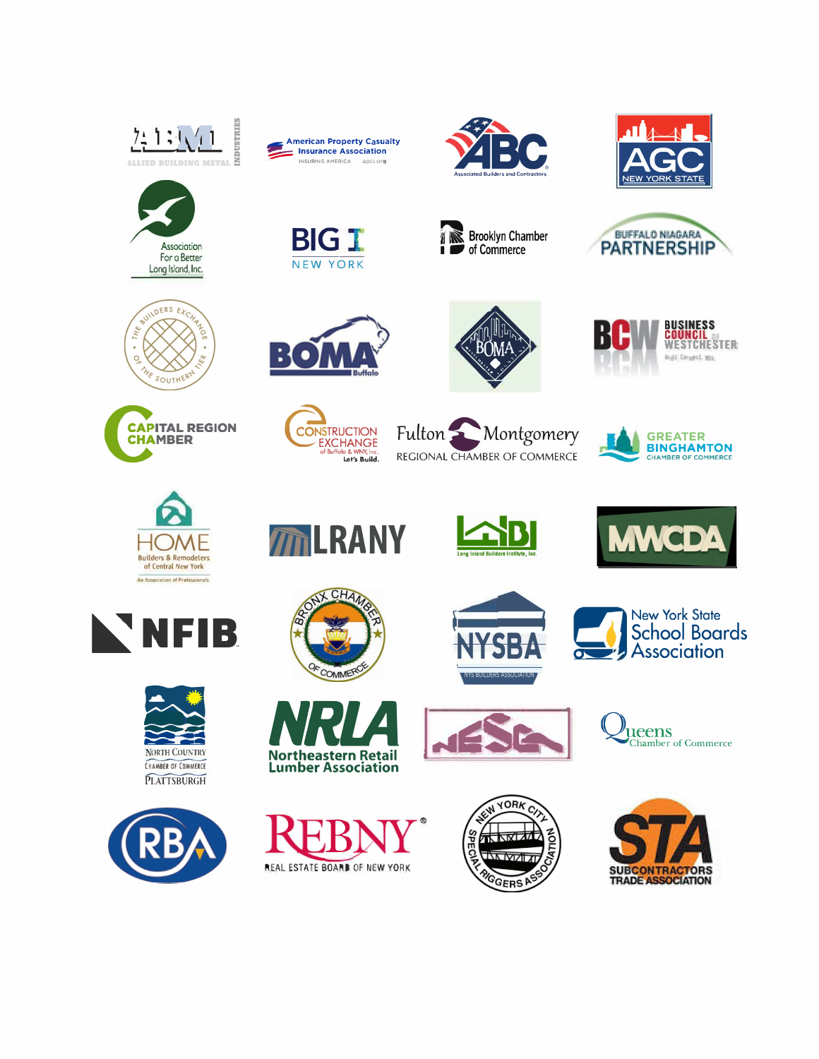



**BIG I** 

NEW YORK



**Brooklyn Chamber** 

of Commerce

Ł























**NGDA** 











**Northeastern Retail** 

**Lumber Association** 

*M***ILRANY** 



**YS BUILDERS ASSOCIATION** 













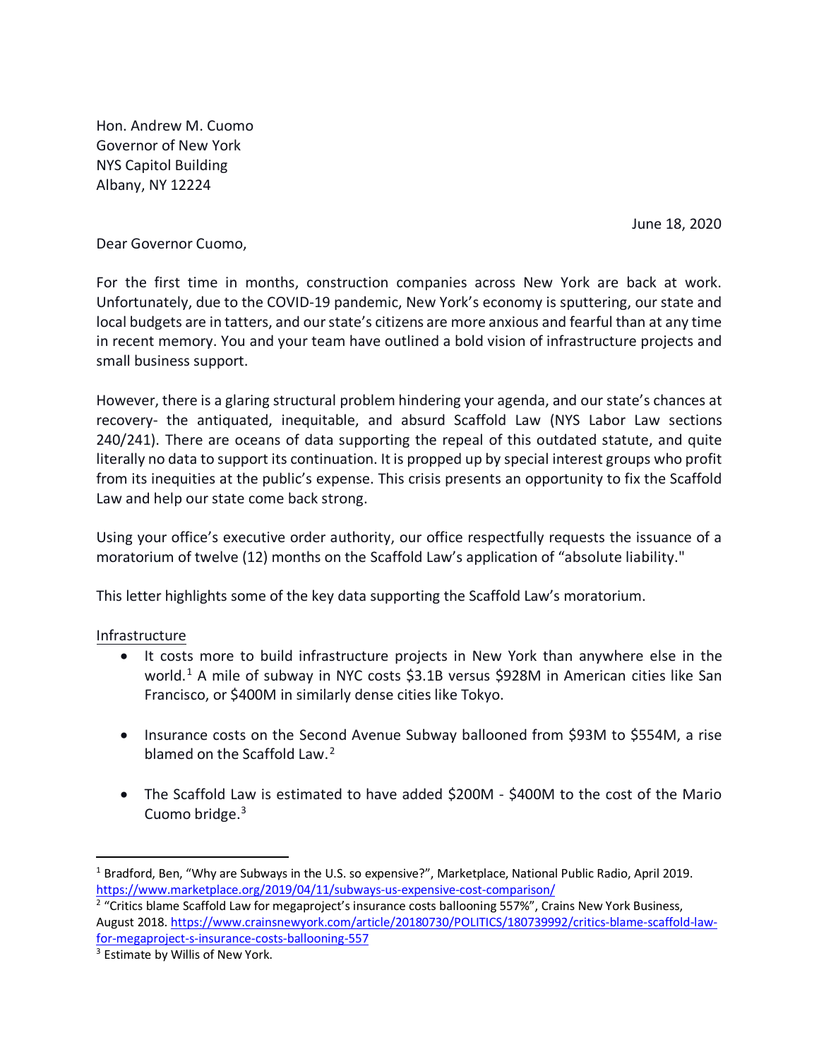Hon. Andrew M. Cuomo Governor of New York NYS Capitol Building Albany, NY 12224

June 18, 2020

Dear Governor Cuomo,

For the first time in months, construction companies across New York are back at work. Unfortunately, due to the COVID-19 pandemic, New York's economy is sputtering, our state and local budgets are in tatters, and our state's citizens are more anxious and fearful than at any time in recent memory. You and your team have outlined a bold vision of infrastructure projects and small business support.

However, there is a glaring structural problem hindering your agenda, and our state's chances at recovery- the antiquated, inequitable, and absurd Scaffold Law (NYS Labor Law sections 240/241). There are oceans of data supporting the repeal of this outdated statute, and quite literally no data to support its continuation. It is propped up by special interest groups who profit from its inequities at the public's expense. This crisis presents an opportunity to fix the Scaffold Law and help our state come back strong.

Using your office's executive order authority, our office respectfully requests the issuance of a moratorium of twelve (12) months on the Scaffold Law's application of "absolute liability."

This letter highlights some of the key data supporting the Scaffold Law's moratorium.

# Infrastructure

- It costs more to build infrastructure projects in New York than anywhere else in the world. [1](#page-1-0) A mile of subway in NYC costs \$3.1B versus \$928M in American cities like San Francisco, or \$400M in similarly dense cities like Tokyo.
- Insurance costs on the Second Avenue Subway ballooned from \$93M to \$554M, a rise blamed on the Scaffold Law.<sup>[2](#page-1-1)</sup>
- The Scaffold Law is estimated to have added \$200M \$400M to the cost of the Mario Cuomo bridge.<sup>[3](#page-1-2)</sup>

<span id="page-1-0"></span><sup>1</sup> Bradford, Ben, "Why are Subways in the U.S. so expensive?", Marketplace, National Public Radio, April 2019. <https://www.marketplace.org/2019/04/11/subways-us-expensive-cost-comparison/>

<span id="page-1-1"></span><sup>&</sup>lt;sup>2</sup> "Critics blame Scaffold Law for megaproject's insurance costs ballooning 557%", Crains New York Business, August 2018. [https://www.crainsnewyork.com/article/20180730/POLITICS/180739992/critics-blame-scaffold-law](https://www.crainsnewyork.com/article/20180730/POLITICS/180739992/critics-blame-scaffold-law-for-megaproject-s-insurance-costs-ballooning-557)[for-megaproject-s-insurance-costs-ballooning-557](https://www.crainsnewyork.com/article/20180730/POLITICS/180739992/critics-blame-scaffold-law-for-megaproject-s-insurance-costs-ballooning-557)

<span id="page-1-2"></span><sup>&</sup>lt;sup>3</sup> Estimate by Willis of New York.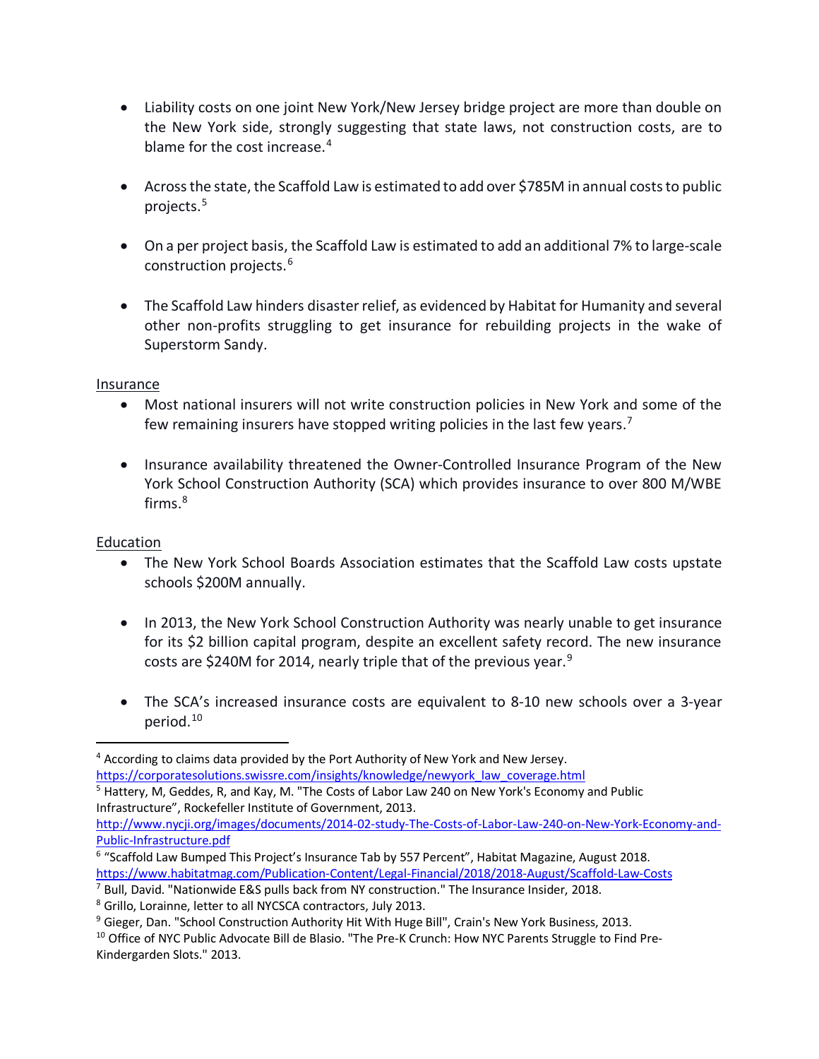- Liability costs on one joint New York/New Jersey bridge project are more than double on the New York side, strongly suggesting that state laws, not construction costs, are to blame for the cost increase. $4$
- Across the state, the Scaffold Law is estimated to add over \$785M in annual costs to public projects.[5](#page-2-1)
- On a per project basis, the Scaffold Law is estimated to add an additional 7% to large-scale construction projects.[6](#page-2-2)
- The Scaffold Law hinders disaster relief, as evidenced by Habitat for Humanity and several other non-profits struggling to get insurance for rebuilding projects in the wake of Superstorm Sandy.

### Insurance

- Most national insurers will not write construction policies in New York and some of the few remaining insurers have stopped writing policies in the last few years.<sup>[7](#page-2-3)</sup>
- Insurance availability threatened the Owner-Controlled Insurance Program of the New York School Construction Authority (SCA) which provides insurance to over 800 M/WBE firms. [8](#page-2-4)

# Education

- The New York School Boards Association estimates that the Scaffold Law costs upstate schools \$200M annually.
- In 2013, the New York School Construction Authority was nearly unable to get insurance for its \$2 billion capital program, despite an excellent safety record. The new insurance costs are \$240M for 2014, nearly triple that of the previous year.<sup>[9](#page-2-5)</sup>
- The SCA's increased insurance costs are equivalent to 8-10 new schools over a 3-year period.[10](#page-2-6)

[Public-Infrastructure.pdf](http://www.nycji.org/images/documents/2014-02-study-The-Costs-of-Labor-Law-240-on-New-York-Economy-and-Public-Infrastructure.pdf)

<span id="page-2-1"></span><span id="page-2-0"></span><sup>4</sup> According to claims data provided by the Port Authority of New York and New Jersey. [https://corporatesolutions.swissre.com/insights/knowledge/newyork\\_law\\_coverage.html](https://corporatesolutions.swissre.com/insights/knowledge/newyork_law_coverage.html) <sup>5</sup> Hattery, M, Geddes, R, and Kay, M. "The Costs of Labor Law 240 on New York's Economy and Public Infrastructure", Rockefeller Institute of Government, 2013. [http://www.nycji.org/images/documents/2014-02-study-The-Costs-of-Labor-Law-240-on-New-York-Economy-and-](http://www.nycji.org/images/documents/2014-02-study-The-Costs-of-Labor-Law-240-on-New-York-Economy-and-Public-Infrastructure.pdf)

<span id="page-2-2"></span><sup>6</sup> "Scaffold Law Bumped This Project's Insurance Tab by 557 Percent", Habitat Magazine, August 2018. <https://www.habitatmag.com/Publication-Content/Legal-Financial/2018/2018-August/Scaffold-Law-Costs>

<span id="page-2-3"></span> $7$  Bull, David. "Nationwide E&S pulls back from NY construction." The Insurance Insider, 2018.

<span id="page-2-4"></span><sup>8</sup> Grillo, Lorainne, letter to all NYCSCA contractors, July 2013.

<span id="page-2-5"></span><sup>&</sup>lt;sup>9</sup> Gieger, Dan. "School Construction Authority Hit With Huge Bill", Crain's New York Business, 2013.<br><sup>10</sup> Office of NYC Public Advocate Bill de Blasio. "The Pre-K Crunch: How NYC Parents Struggle to Find Pre-

<span id="page-2-6"></span>Kindergarden Slots." 2013.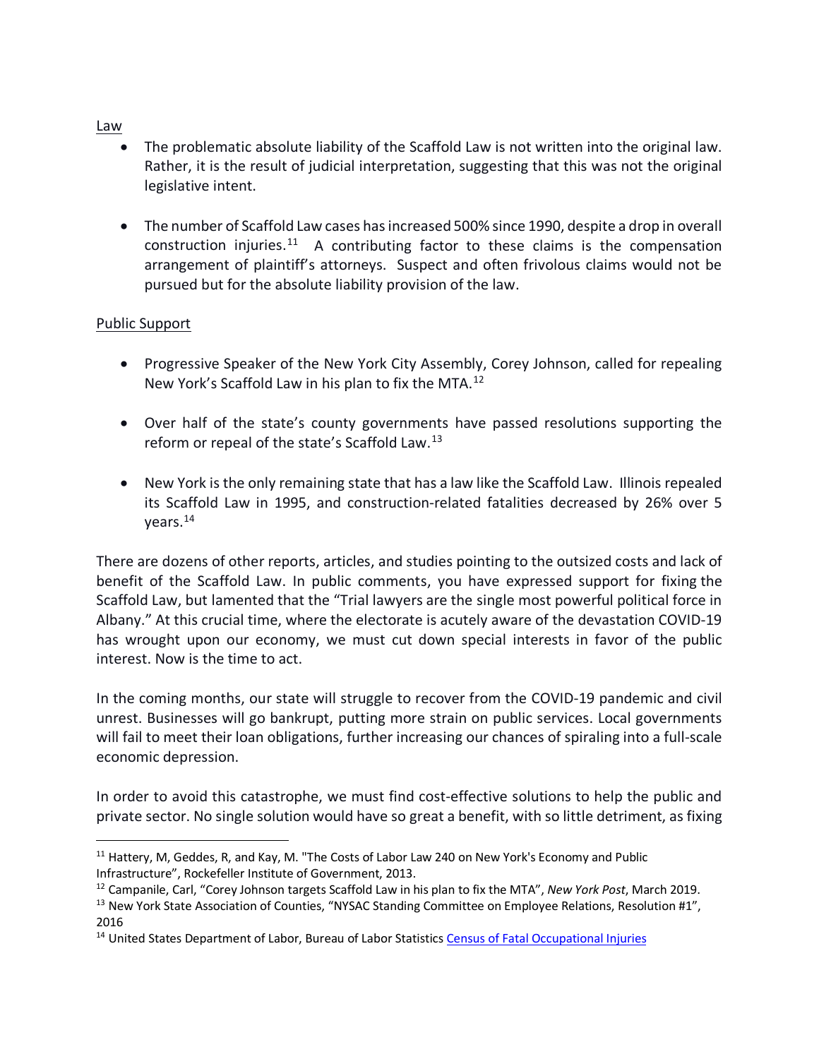#### Law

- The problematic absolute liability of the Scaffold Law is not written into the original law. Rather, it is the result of judicial interpretation, suggesting that this was not the original legislative intent.
- The number of Scaffold Law cases has increased 500% since 1990, despite a drop in overall construction injuries.<sup>11</sup> A contributing factor to these claims is the compensation arrangement of plaintiff's attorneys. Suspect and often frivolous claims would not be pursued but for the absolute liability provision of the law.

#### Public Support

- Progressive Speaker of the New York City Assembly, Corey Johnson, called for repealing New York's Scaffold Law in his plan to fix the MTA.[12](#page-3-1)
- Over half of the state's county governments have passed resolutions supporting the reform or repeal of the state's Scaffold Law.[13](#page-3-2)
- New York is the only remaining state that has a law like the Scaffold Law. Illinois repealed its Scaffold Law in 1995, and construction-related fatalities decreased by 26% over 5 years.[14](#page-3-3)

There are dozens of other reports, articles, and studies pointing to the outsized costs and lack of benefit of the Scaffold Law. In public comments, you have expressed support for fixing the Scaffold Law, but lamented that the "Trial lawyers are the single most powerful political force in Albany." At this crucial time, where the electorate is acutely aware of the devastation COVID-19 has wrought upon our economy, we must cut down special interests in favor of the public interest. Now is the time to act.

In the coming months, our state will struggle to recover from the COVID-19 pandemic and civil unrest. Businesses will go bankrupt, putting more strain on public services. Local governments will fail to meet their loan obligations, further increasing our chances of spiraling into a full-scale economic depression.

In order to avoid this catastrophe, we must find cost-effective solutions to help the public and private sector. No single solution would have so great a benefit, with so little detriment, as fixing

<span id="page-3-0"></span><sup>&</sup>lt;sup>11</sup> Hattery, M, Geddes, R, and Kay, M. "The Costs of Labor Law 240 on New York's Economy and Public Infrastructure", Rockefeller Institute of Government, 2013.

<span id="page-3-1"></span><sup>&</sup>lt;sup>12</sup> Campanile, Carl, "Corey Johnson targets Scaffold Law in his plan to fix the MTA", New York Post, March 2019.<br><sup>13</sup> New York State Association of Counties, "NYSAC Standing Committee on Employee Relations, Resolution #1

<span id="page-3-2"></span><sup>2016</sup> 

<span id="page-3-3"></span><sup>&</sup>lt;sup>14</sup> United States Department of Labor, Bureau of Labor Statistics [Census of Fatal Occupational Injuries](http://www.bls.gov/iif/oshcfoi1.htm)